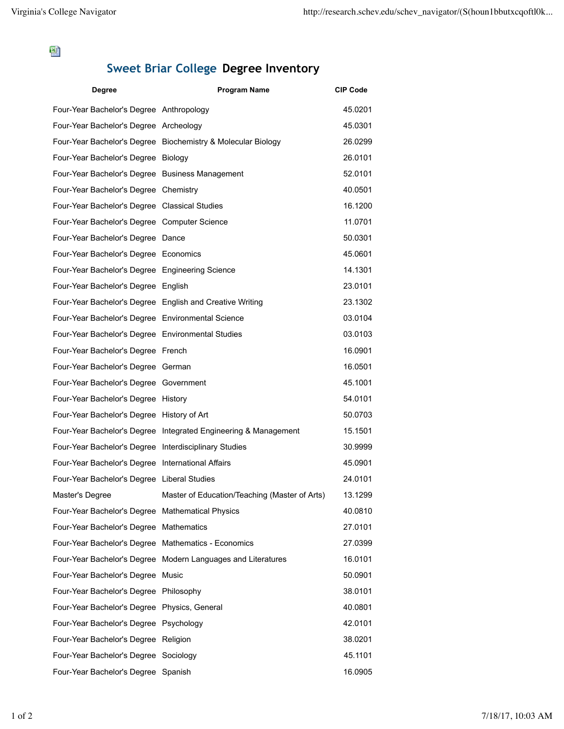뙘

## **Sweet Briar College Degree Inventory**

| <b>Degree</b>                                            | <b>Program Name</b>                                             | <b>CIP Code</b> |
|----------------------------------------------------------|-----------------------------------------------------------------|-----------------|
| Four-Year Bachelor's Degree Anthropology                 |                                                                 | 45.0201         |
| Four-Year Bachelor's Degree Archeology                   |                                                                 | 45.0301         |
|                                                          | Four-Year Bachelor's Degree Biochemistry & Molecular Biology    | 26.0299         |
| Four-Year Bachelor's Degree Biology                      |                                                                 | 26.0101         |
| Four-Year Bachelor's Degree Business Management          |                                                                 | 52.0101         |
| Four-Year Bachelor's Degree Chemistry                    |                                                                 | 40.0501         |
| Four-Year Bachelor's Degree Classical Studies            |                                                                 | 16.1200         |
| Four-Year Bachelor's Degree Computer Science             |                                                                 | 11.0701         |
| Four-Year Bachelor's Degree Dance                        |                                                                 | 50.0301         |
| Four-Year Bachelor's Degree Economics                    |                                                                 | 45.0601         |
| Four-Year Bachelor's Degree Engineering Science          |                                                                 | 14.1301         |
| Four-Year Bachelor's Degree English                      |                                                                 | 23.0101         |
| Four-Year Bachelor's Degree English and Creative Writing |                                                                 | 23.1302         |
| Four-Year Bachelor's Degree Environmental Science        |                                                                 | 03.0104         |
| Four-Year Bachelor's Degree Environmental Studies        |                                                                 | 03.0103         |
| Four-Year Bachelor's Degree French                       |                                                                 | 16.0901         |
| Four-Year Bachelor's Degree German                       |                                                                 | 16.0501         |
| Four-Year Bachelor's Degree Government                   |                                                                 | 45.1001         |
| Four-Year Bachelor's Degree History                      |                                                                 | 54.0101         |
| Four-Year Bachelor's Degree History of Art               |                                                                 | 50.0703         |
|                                                          | Four-Year Bachelor's Degree Integrated Engineering & Management | 15.1501         |
| Four-Year Bachelor's Degree Interdisciplinary Studies    |                                                                 | 30.9999         |
| Four-Year Bachelor's Degree International Affairs        |                                                                 | 45.0901         |
| Four-Year Bachelor's Degree Liberal Studies              |                                                                 | 24.0101         |
| Master's Degree                                          | Master of Education/Teaching (Master of Arts)                   | 13.1299         |
| Four-Year Bachelor's Degree Mathematical Physics         |                                                                 | 40.0810         |
| Four-Year Bachelor's Degree Mathematics                  |                                                                 | 27.0101         |
| Four-Year Bachelor's Degree Mathematics - Economics      |                                                                 | 27.0399         |
|                                                          | Four-Year Bachelor's Degree Modern Languages and Literatures    | 16.0101         |
| Four-Year Bachelor's Degree Music                        |                                                                 | 50.0901         |
| Four-Year Bachelor's Degree Philosophy                   |                                                                 | 38.0101         |
| Four-Year Bachelor's Degree Physics, General             |                                                                 | 40.0801         |
| Four-Year Bachelor's Degree Psychology                   |                                                                 | 42.0101         |
| Four-Year Bachelor's Degree Religion                     |                                                                 | 38.0201         |
| Four-Year Bachelor's Degree Sociology                    |                                                                 | 45.1101         |
| Four-Year Bachelor's Degree Spanish                      |                                                                 | 16.0905         |